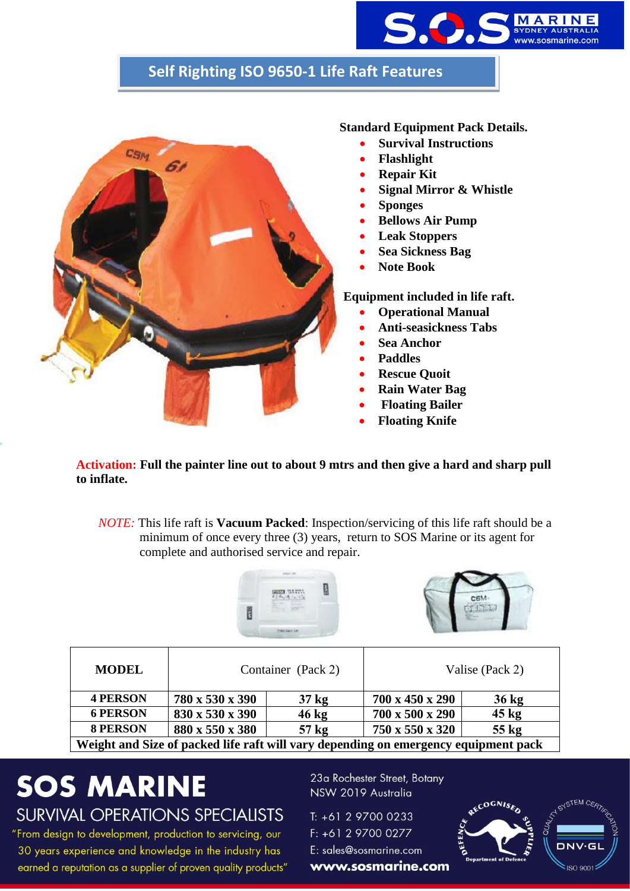

### **Self Righting ISO 9650-1 Life Raft Features**



#### **Standard Equipment Pack Details.**

- **Survival Instructions**
- **Flashlight**
- **Repair Kit**
- **Signal Mirror & Whistle**
- **Sponges**
- **Bellows Air Pump**
- **Leak Stoppers**
- **Sea Sickness Bag**
- **Note Book**

**Equipment included in life raft.**

- **Operational Manual**
- **Anti-seasickness Tabs**
- **Sea Anchor**
- **Paddles**
- **Rescue Quoit**
- **Rain Water Bag**
- **Floating Bailer**
- **Floating Knife**

**Activation: Full the painter line out to about 9 mtrs and then give a hard and sharp pull to inflate.**

*NOTE:* This life raft is **Vacuum Packed**: Inspection/servicing of this life raft should be a minimum of once every three (3) years, return to SOS Marine or its agent for complete and authorised service and repair.





| <b>MODEL</b>                                                                        | Container (Pack 2) |                  | Valise (Pack 2) |                 |  |  |
|-------------------------------------------------------------------------------------|--------------------|------------------|-----------------|-----------------|--|--|
| <b>4 PERSON</b>                                                                     | 780 x 530 x 390    | 37 <sub>kg</sub> | 700 x 450 x 290 | $36 \text{ kg}$ |  |  |
| <b>6 PERSON</b>                                                                     | 830 x 530 x 390    | $46 \text{ kg}$  | 700 x 500 x 290 | $45 \text{ kg}$ |  |  |
| <b>8 PERSON</b>                                                                     | 880 x 550 x 380    | 57 <sub>kg</sub> | 750 x 550 x 320 | 55 kg           |  |  |
| Weight and Size of packed life raft will vary depending on emergency equipment pack |                    |                  |                 |                 |  |  |

## **SOS MARINE SURVIVAL OPERATIONS SPECIALISTS**

"From design to development, production to servicing, our 30 years experience and knowledge in the industry has earned a reputation as a supplier of proven quality products"

23a Rochester Street, Botany NSW 2019 Australia

T: +61 2 9700 0233 F: +61 2 9700 0277 E: sales@sosmarine.com

www.sosmarine.com